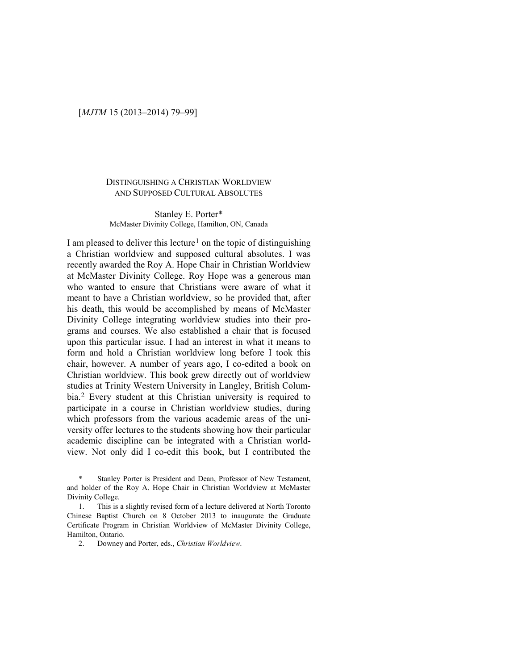## [*MJTM* 15 (2013–2014) 79–99]

### DISTINGUISHING A CHRISTIAN WORLDVIEW AND SUPPOSED CULTURAL ABSOLUTES

### Stanley E. Porter\* McMaster Divinity College, Hamilton, ON, Canada

I am pleased to deliver this lecture<sup>1</sup> on the topic of distinguishing a Christian worldview and supposed cultural absolutes. I was recently awarded the Roy A. Hope Chair in Christian Worldview at McMaster Divinity College. Roy Hope was a generous man who wanted to ensure that Christians were aware of what it meant to have a Christian worldview, so he provided that, after his death, this would be accomplished by means of McMaster Divinity College integrating worldview studies into their programs and courses. We also established a chair that is focused upon this particular issue. I had an interest in what it means to form and hold a Christian worldview long before I took this chair, however. A number of years ago, I co-edited a book on Christian worldview. This book grew directly out of worldview studies at Trinity Western University in Langley, British Columbia.[2](#page-0-1) Every student at this Christian university is required to participate in a course in Christian worldview studies, during which professors from the various academic areas of the university offer lectures to the students showing how their particular academic discipline can be integrated with a Christian worldview. Not only did I co-edit this book, but I contributed the

<span id="page-0-0"></span>Stanley Porter is President and Dean, Professor of New Testament, and holder of the Roy A. Hope Chair in Christian Worldview at McMaster Divinity College.

<span id="page-0-1"></span><sup>1.</sup> This is a slightly revised form of a lecture delivered at North Toronto Chinese Baptist Church on 8 October 2013 to inaugurate the Graduate Certificate Program in Christian Worldview of McMaster Divinity College, Hamilton, Ontario.

<sup>2.</sup> Downey and Porter, eds., *Christian Worldview*.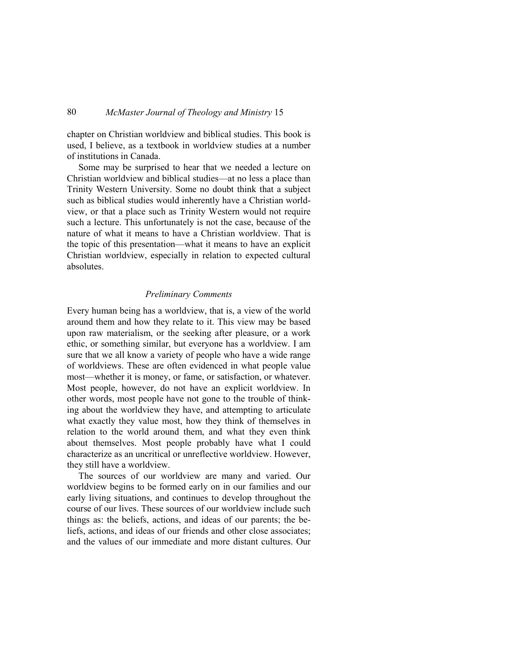chapter on Christian worldview and biblical studies. This book is used, I believe, as a textbook in worldview studies at a number of institutions in Canada.

Some may be surprised to hear that we needed a lecture on Christian worldview and biblical studies—at no less a place than Trinity Western University. Some no doubt think that a subject such as biblical studies would inherently have a Christian worldview, or that a place such as Trinity Western would not require such a lecture. This unfortunately is not the case, because of the nature of what it means to have a Christian worldview. That is the topic of this presentation—what it means to have an explicit Christian worldview, especially in relation to expected cultural absolutes.

#### *Preliminary Comments*

Every human being has a worldview, that is, a view of the world around them and how they relate to it. This view may be based upon raw materialism, or the seeking after pleasure, or a work ethic, or something similar, but everyone has a worldview. I am sure that we all know a variety of people who have a wide range of worldviews. These are often evidenced in what people value most—whether it is money, or fame, or satisfaction, or whatever. Most people, however, do not have an explicit worldview. In other words, most people have not gone to the trouble of thinking about the worldview they have, and attempting to articulate what exactly they value most, how they think of themselves in relation to the world around them, and what they even think about themselves. Most people probably have what I could characterize as an uncritical or unreflective worldview. However, they still have a worldview.

The sources of our worldview are many and varied. Our worldview begins to be formed early on in our families and our early living situations, and continues to develop throughout the course of our lives. These sources of our worldview include such things as: the beliefs, actions, and ideas of our parents; the beliefs, actions, and ideas of our friends and other close associates; and the values of our immediate and more distant cultures. Our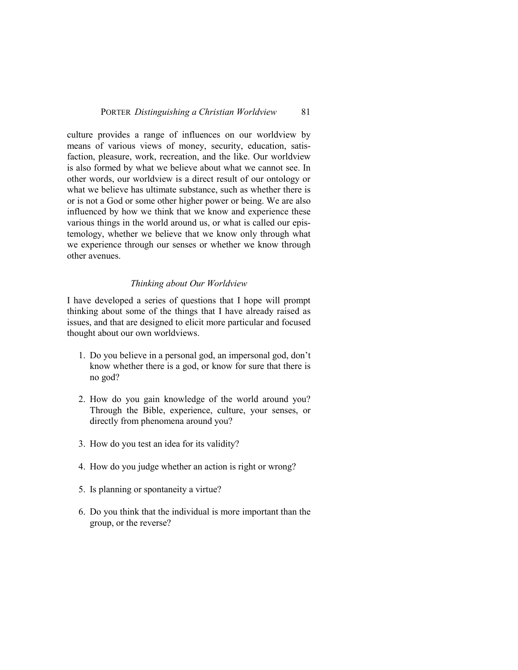culture provides a range of influences on our worldview by means of various views of money, security, education, satisfaction, pleasure, work, recreation, and the like. Our worldview is also formed by what we believe about what we cannot see. In other words, our worldview is a direct result of our ontology or what we believe has ultimate substance, such as whether there is or is not a God or some other higher power or being. We are also influenced by how we think that we know and experience these various things in the world around us, or what is called our epistemology, whether we believe that we know only through what we experience through our senses or whether we know through other avenues.

### *Thinking about Our Worldview*

I have developed a series of questions that I hope will prompt thinking about some of the things that I have already raised as issues, and that are designed to elicit more particular and focused thought about our own worldviews.

- 1. Do you believe in a personal god, an impersonal god, don't know whether there is a god, or know for sure that there is no god?
- 2. How do you gain knowledge of the world around you? Through the Bible, experience, culture, your senses, or directly from phenomena around you?
- 3. How do you test an idea for its validity?
- 4. How do you judge whether an action is right or wrong?
- 5. Is planning or spontaneity a virtue?
- 6. Do you think that the individual is more important than the group, or the reverse?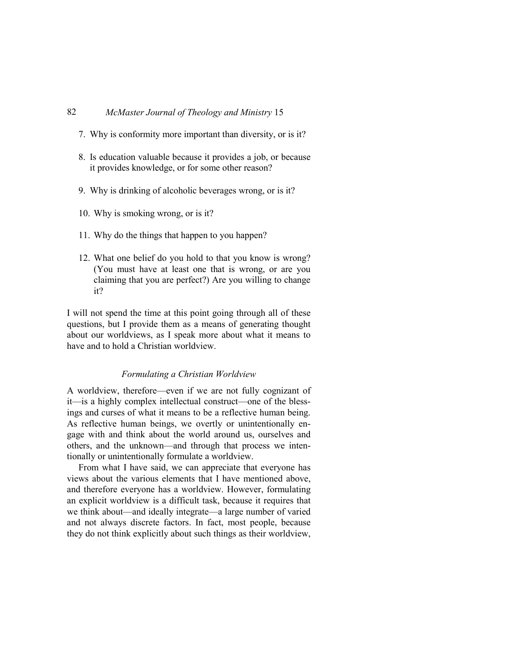- 7. Why is conformity more important than diversity, or is it?
- 8. Is education valuable because it provides a job, or because it provides knowledge, or for some other reason?
- 9. Why is drinking of alcoholic beverages wrong, or is it?
- 10. Why is smoking wrong, or is it?
- 11. Why do the things that happen to you happen?
- 12. What one belief do you hold to that you know is wrong? (You must have at least one that is wrong, or are you claiming that you are perfect?) Are you willing to change it?

I will not spend the time at this point going through all of these questions, but I provide them as a means of generating thought about our worldviews, as I speak more about what it means to have and to hold a Christian worldview.

#### *Formulating a Christian Worldview*

A worldview, therefore—even if we are not fully cognizant of it—is a highly complex intellectual construct—one of the blessings and curses of what it means to be a reflective human being. As reflective human beings, we overtly or unintentionally engage with and think about the world around us, ourselves and others, and the unknown—and through that process we intentionally or unintentionally formulate a worldview.

From what I have said, we can appreciate that everyone has views about the various elements that I have mentioned above, and therefore everyone has a worldview. However, formulating an explicit worldview is a difficult task, because it requires that we think about—and ideally integrate—a large number of varied and not always discrete factors. In fact, most people, because they do not think explicitly about such things as their worldview,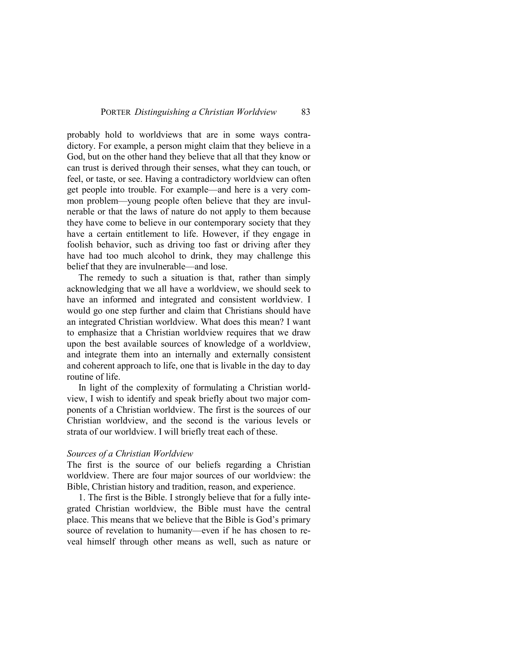probably hold to worldviews that are in some ways contradictory. For example, a person might claim that they believe in a God, but on the other hand they believe that all that they know or can trust is derived through their senses, what they can touch, or feel, or taste, or see. Having a contradictory worldview can often get people into trouble. For example—and here is a very common problem—young people often believe that they are invulnerable or that the laws of nature do not apply to them because they have come to believe in our contemporary society that they have a certain entitlement to life. However, if they engage in foolish behavior, such as driving too fast or driving after they have had too much alcohol to drink, they may challenge this belief that they are invulnerable—and lose.

The remedy to such a situation is that, rather than simply acknowledging that we all have a worldview, we should seek to have an informed and integrated and consistent worldview. I would go one step further and claim that Christians should have an integrated Christian worldview. What does this mean? I want to emphasize that a Christian worldview requires that we draw upon the best available sources of knowledge of a worldview, and integrate them into an internally and externally consistent and coherent approach to life, one that is livable in the day to day routine of life.

In light of the complexity of formulating a Christian worldview, I wish to identify and speak briefly about two major components of a Christian worldview. The first is the sources of our Christian worldview, and the second is the various levels or strata of our worldview. I will briefly treat each of these.

#### *Sources of a Christian Worldview*

The first is the source of our beliefs regarding a Christian worldview. There are four major sources of our worldview: the Bible, Christian history and tradition, reason, and experience.

1. The first is the Bible. I strongly believe that for a fully integrated Christian worldview, the Bible must have the central place. This means that we believe that the Bible is God's primary source of revelation to humanity—even if he has chosen to reveal himself through other means as well, such as nature or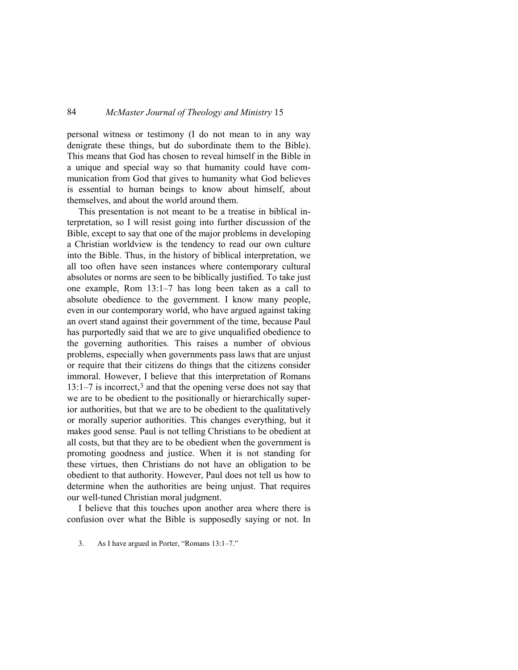personal witness or testimony (I do not mean to in any way denigrate these things, but do subordinate them to the Bible). This means that God has chosen to reveal himself in the Bible in a unique and special way so that humanity could have communication from God that gives to humanity what God believes is essential to human beings to know about himself, about themselves, and about the world around them.

This presentation is not meant to be a treatise in biblical interpretation, so I will resist going into further discussion of the Bible, except to say that one of the major problems in developing a Christian worldview is the tendency to read our own culture into the Bible. Thus, in the history of biblical interpretation, we all too often have seen instances where contemporary cultural absolutes or norms are seen to be biblically justified. To take just one example, Rom 13:1–7 has long been taken as a call to absolute obedience to the government. I know many people, even in our contemporary world, who have argued against taking an overt stand against their government of the time, because Paul has purportedly said that we are to give unqualified obedience to the governing authorities. This raises a number of obvious problems, especially when governments pass laws that are unjust or require that their citizens do things that the citizens consider immoral. However, I believe that this interpretation of Romans  $13:1-7$  $13:1-7$  $13:1-7$  is incorrect,<sup>3</sup> and that the opening verse does not say that we are to be obedient to the positionally or hierarchically superior authorities, but that we are to be obedient to the qualitatively or morally superior authorities. This changes everything, but it makes good sense. Paul is not telling Christians to be obedient at all costs, but that they are to be obedient when the government is promoting goodness and justice. When it is not standing for these virtues, then Christians do not have an obligation to be obedient to that authority. However, Paul does not tell us how to determine when the authorities are being unjust. That requires our well-tuned Christian moral judgment.

<span id="page-5-0"></span>I believe that this touches upon another area where there is confusion over what the Bible is supposedly saying or not. In

<sup>3.</sup> As I have argued in Porter, "Romans 13:1–7."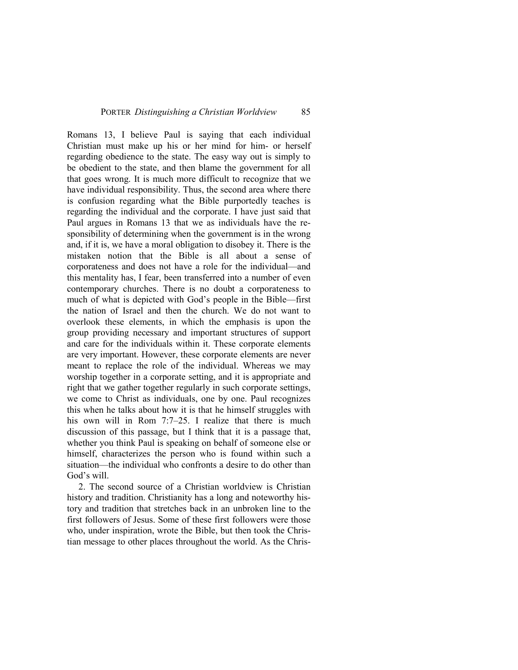Romans 13, I believe Paul is saying that each individual Christian must make up his or her mind for him- or herself regarding obedience to the state. The easy way out is simply to be obedient to the state, and then blame the government for all that goes wrong. It is much more difficult to recognize that we have individual responsibility. Thus, the second area where there is confusion regarding what the Bible purportedly teaches is regarding the individual and the corporate. I have just said that Paul argues in Romans 13 that we as individuals have the responsibility of determining when the government is in the wrong and, if it is, we have a moral obligation to disobey it. There is the mistaken notion that the Bible is all about a sense of corporateness and does not have a role for the individual—and this mentality has, I fear, been transferred into a number of even contemporary churches. There is no doubt a corporateness to much of what is depicted with God's people in the Bible—first the nation of Israel and then the church. We do not want to overlook these elements, in which the emphasis is upon the group providing necessary and important structures of support and care for the individuals within it. These corporate elements are very important. However, these corporate elements are never meant to replace the role of the individual. Whereas we may worship together in a corporate setting, and it is appropriate and right that we gather together regularly in such corporate settings, we come to Christ as individuals, one by one. Paul recognizes this when he talks about how it is that he himself struggles with his own will in Rom 7:7–25. I realize that there is much discussion of this passage, but I think that it is a passage that, whether you think Paul is speaking on behalf of someone else or himself, characterizes the person who is found within such a situation—the individual who confronts a desire to do other than God's will.

2. The second source of a Christian worldview is Christian history and tradition. Christianity has a long and noteworthy history and tradition that stretches back in an unbroken line to the first followers of Jesus. Some of these first followers were those who, under inspiration, wrote the Bible, but then took the Christian message to other places throughout the world. As the Chris-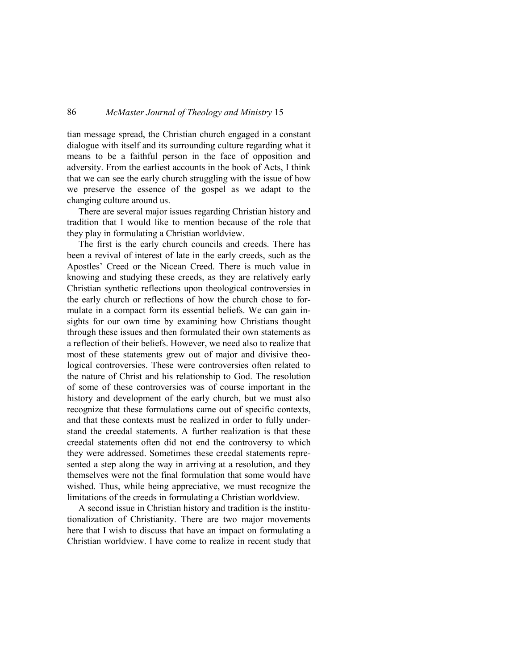tian message spread, the Christian church engaged in a constant dialogue with itself and its surrounding culture regarding what it means to be a faithful person in the face of opposition and adversity. From the earliest accounts in the book of Acts, I think that we can see the early church struggling with the issue of how we preserve the essence of the gospel as we adapt to the changing culture around us.

There are several major issues regarding Christian history and tradition that I would like to mention because of the role that they play in formulating a Christian worldview.

The first is the early church councils and creeds. There has been a revival of interest of late in the early creeds, such as the Apostles' Creed or the Nicean Creed. There is much value in knowing and studying these creeds, as they are relatively early Christian synthetic reflections upon theological controversies in the early church or reflections of how the church chose to formulate in a compact form its essential beliefs. We can gain insights for our own time by examining how Christians thought through these issues and then formulated their own statements as a reflection of their beliefs. However, we need also to realize that most of these statements grew out of major and divisive theological controversies. These were controversies often related to the nature of Christ and his relationship to God. The resolution of some of these controversies was of course important in the history and development of the early church, but we must also recognize that these formulations came out of specific contexts, and that these contexts must be realized in order to fully understand the creedal statements. A further realization is that these creedal statements often did not end the controversy to which they were addressed. Sometimes these creedal statements represented a step along the way in arriving at a resolution, and they themselves were not the final formulation that some would have wished. Thus, while being appreciative, we must recognize the limitations of the creeds in formulating a Christian worldview.

A second issue in Christian history and tradition is the institutionalization of Christianity. There are two major movements here that I wish to discuss that have an impact on formulating a Christian worldview. I have come to realize in recent study that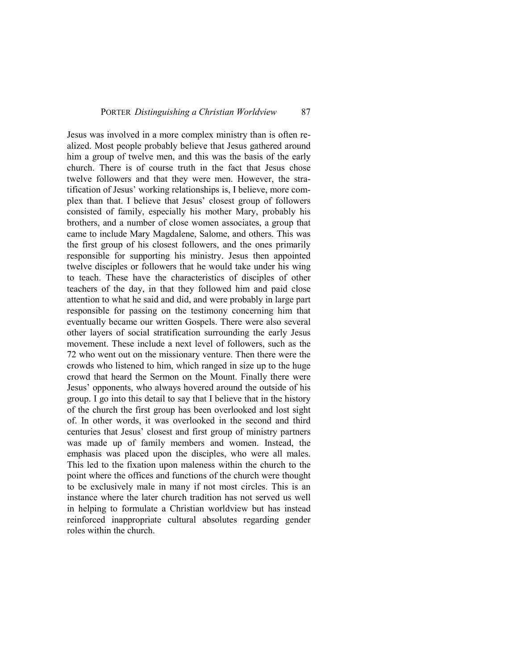Jesus was involved in a more complex ministry than is often realized. Most people probably believe that Jesus gathered around him a group of twelve men, and this was the basis of the early church. There is of course truth in the fact that Jesus chose twelve followers and that they were men. However, the stratification of Jesus' working relationships is, I believe, more complex than that. I believe that Jesus' closest group of followers consisted of family, especially his mother Mary, probably his brothers, and a number of close women associates, a group that came to include Mary Magdalene, Salome, and others. This was the first group of his closest followers, and the ones primarily responsible for supporting his ministry. Jesus then appointed twelve disciples or followers that he would take under his wing to teach. These have the characteristics of disciples of other teachers of the day, in that they followed him and paid close attention to what he said and did, and were probably in large part responsible for passing on the testimony concerning him that eventually became our written Gospels. There were also several other layers of social stratification surrounding the early Jesus movement. These include a next level of followers, such as the 72 who went out on the missionary venture. Then there were the crowds who listened to him, which ranged in size up to the huge crowd that heard the Sermon on the Mount. Finally there were Jesus' opponents, who always hovered around the outside of his group. I go into this detail to say that I believe that in the history of the church the first group has been overlooked and lost sight of. In other words, it was overlooked in the second and third centuries that Jesus' closest and first group of ministry partners was made up of family members and women. Instead, the emphasis was placed upon the disciples, who were all males. This led to the fixation upon maleness within the church to the point where the offices and functions of the church were thought to be exclusively male in many if not most circles. This is an instance where the later church tradition has not served us well in helping to formulate a Christian worldview but has instead reinforced inappropriate cultural absolutes regarding gender roles within the church.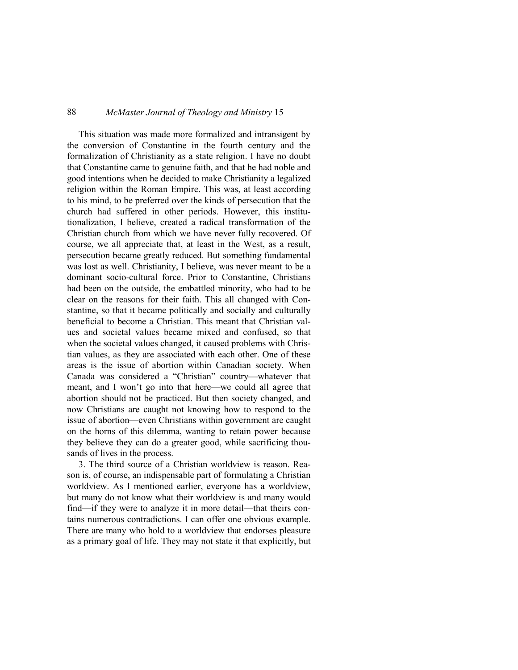This situation was made more formalized and intransigent by the conversion of Constantine in the fourth century and the formalization of Christianity as a state religion. I have no doubt that Constantine came to genuine faith, and that he had noble and good intentions when he decided to make Christianity a legalized religion within the Roman Empire. This was, at least according to his mind, to be preferred over the kinds of persecution that the church had suffered in other periods. However, this institutionalization, I believe, created a radical transformation of the Christian church from which we have never fully recovered. Of course, we all appreciate that, at least in the West, as a result, persecution became greatly reduced. But something fundamental was lost as well. Christianity, I believe, was never meant to be a dominant socio-cultural force. Prior to Constantine, Christians had been on the outside, the embattled minority, who had to be clear on the reasons for their faith. This all changed with Constantine, so that it became politically and socially and culturally beneficial to become a Christian. This meant that Christian values and societal values became mixed and confused, so that when the societal values changed, it caused problems with Christian values, as they are associated with each other. One of these areas is the issue of abortion within Canadian society. When Canada was considered a "Christian" country—whatever that meant, and I won't go into that here—we could all agree that abortion should not be practiced. But then society changed, and now Christians are caught not knowing how to respond to the issue of abortion—even Christians within government are caught on the horns of this dilemma, wanting to retain power because they believe they can do a greater good, while sacrificing thousands of lives in the process.

3. The third source of a Christian worldview is reason. Reason is, of course, an indispensable part of formulating a Christian worldview. As I mentioned earlier, everyone has a worldview, but many do not know what their worldview is and many would find—if they were to analyze it in more detail—that theirs contains numerous contradictions. I can offer one obvious example. There are many who hold to a worldview that endorses pleasure as a primary goal of life. They may not state it that explicitly, but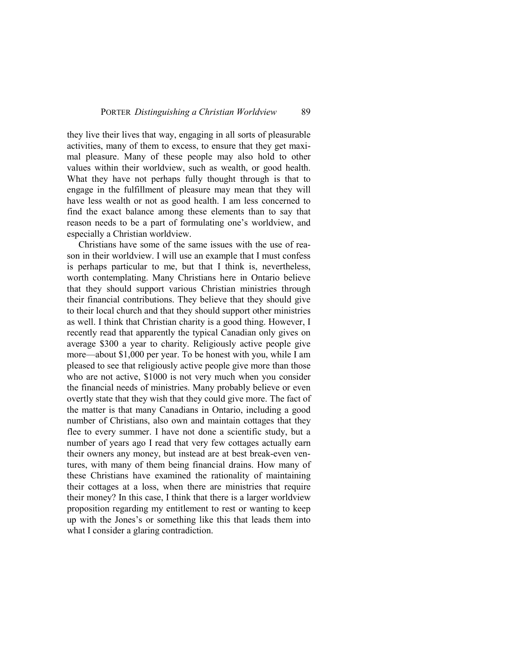they live their lives that way, engaging in all sorts of pleasurable activities, many of them to excess, to ensure that they get maximal pleasure. Many of these people may also hold to other values within their worldview, such as wealth, or good health. What they have not perhaps fully thought through is that to engage in the fulfillment of pleasure may mean that they will have less wealth or not as good health. I am less concerned to find the exact balance among these elements than to say that reason needs to be a part of formulating one's worldview, and especially a Christian worldview.

Christians have some of the same issues with the use of reason in their worldview. I will use an example that I must confess is perhaps particular to me, but that I think is, nevertheless, worth contemplating. Many Christians here in Ontario believe that they should support various Christian ministries through their financial contributions. They believe that they should give to their local church and that they should support other ministries as well. I think that Christian charity is a good thing. However, I recently read that apparently the typical Canadian only gives on average \$300 a year to charity. Religiously active people give more—about \$1,000 per year. To be honest with you, while I am pleased to see that religiously active people give more than those who are not active, \$1000 is not very much when you consider the financial needs of ministries. Many probably believe or even overtly state that they wish that they could give more. The fact of the matter is that many Canadians in Ontario, including a good number of Christians, also own and maintain cottages that they flee to every summer. I have not done a scientific study, but a number of years ago I read that very few cottages actually earn their owners any money, but instead are at best break-even ventures, with many of them being financial drains. How many of these Christians have examined the rationality of maintaining their cottages at a loss, when there are ministries that require their money? In this case, I think that there is a larger worldview proposition regarding my entitlement to rest or wanting to keep up with the Jones's or something like this that leads them into what I consider a glaring contradiction.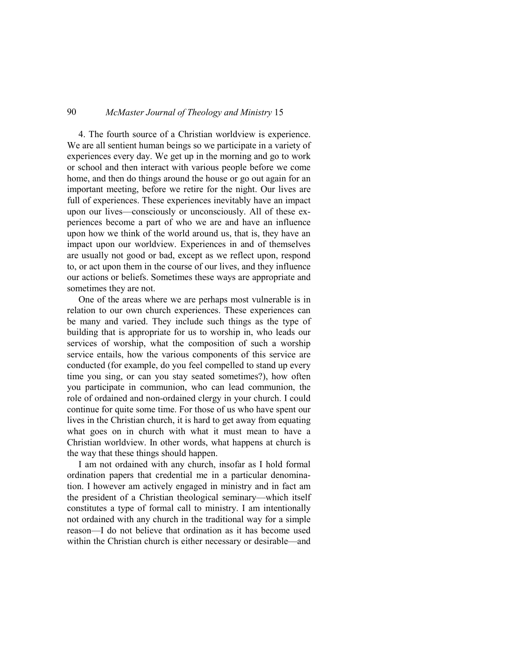4. The fourth source of a Christian worldview is experience. We are all sentient human beings so we participate in a variety of experiences every day. We get up in the morning and go to work or school and then interact with various people before we come home, and then do things around the house or go out again for an important meeting, before we retire for the night. Our lives are full of experiences. These experiences inevitably have an impact upon our lives—consciously or unconsciously. All of these experiences become a part of who we are and have an influence upon how we think of the world around us, that is, they have an impact upon our worldview. Experiences in and of themselves are usually not good or bad, except as we reflect upon, respond to, or act upon them in the course of our lives, and they influence our actions or beliefs. Sometimes these ways are appropriate and sometimes they are not.

One of the areas where we are perhaps most vulnerable is in relation to our own church experiences. These experiences can be many and varied. They include such things as the type of building that is appropriate for us to worship in, who leads our services of worship, what the composition of such a worship service entails, how the various components of this service are conducted (for example, do you feel compelled to stand up every time you sing, or can you stay seated sometimes?), how often you participate in communion, who can lead communion, the role of ordained and non-ordained clergy in your church. I could continue for quite some time. For those of us who have spent our lives in the Christian church, it is hard to get away from equating what goes on in church with what it must mean to have a Christian worldview. In other words, what happens at church is the way that these things should happen.

I am not ordained with any church, insofar as I hold formal ordination papers that credential me in a particular denomination. I however am actively engaged in ministry and in fact am the president of a Christian theological seminary—which itself constitutes a type of formal call to ministry. I am intentionally not ordained with any church in the traditional way for a simple reason—I do not believe that ordination as it has become used within the Christian church is either necessary or desirable—and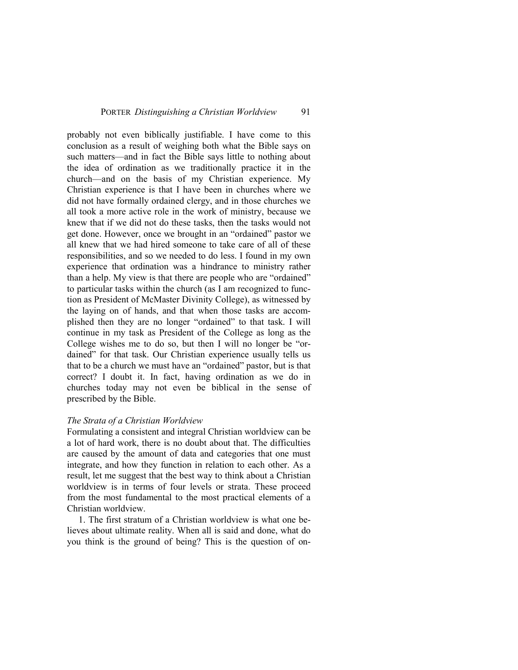probably not even biblically justifiable. I have come to this conclusion as a result of weighing both what the Bible says on such matters—and in fact the Bible says little to nothing about the idea of ordination as we traditionally practice it in the church—and on the basis of my Christian experience. My Christian experience is that I have been in churches where we did not have formally ordained clergy, and in those churches we all took a more active role in the work of ministry, because we knew that if we did not do these tasks, then the tasks would not get done. However, once we brought in an "ordained" pastor we all knew that we had hired someone to take care of all of these responsibilities, and so we needed to do less. I found in my own experience that ordination was a hindrance to ministry rather than a help. My view is that there are people who are "ordained" to particular tasks within the church (as I am recognized to function as President of McMaster Divinity College), as witnessed by the laying on of hands, and that when those tasks are accomplished then they are no longer "ordained" to that task. I will continue in my task as President of the College as long as the College wishes me to do so, but then I will no longer be "ordained" for that task. Our Christian experience usually tells us that to be a church we must have an "ordained" pastor, but is that correct? I doubt it. In fact, having ordination as we do in churches today may not even be biblical in the sense of prescribed by the Bible.

### *The Strata of a Christian Worldview*

Formulating a consistent and integral Christian worldview can be a lot of hard work, there is no doubt about that. The difficulties are caused by the amount of data and categories that one must integrate, and how they function in relation to each other. As a result, let me suggest that the best way to think about a Christian worldview is in terms of four levels or strata. These proceed from the most fundamental to the most practical elements of a Christian worldview.

1. The first stratum of a Christian worldview is what one believes about ultimate reality. When all is said and done, what do you think is the ground of being? This is the question of on-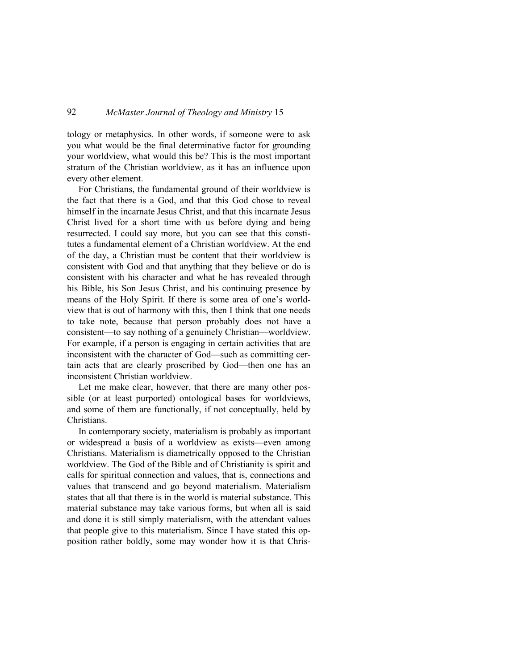tology or metaphysics. In other words, if someone were to ask you what would be the final determinative factor for grounding your worldview, what would this be? This is the most important stratum of the Christian worldview, as it has an influence upon every other element.

For Christians, the fundamental ground of their worldview is the fact that there is a God, and that this God chose to reveal himself in the incarnate Jesus Christ, and that this incarnate Jesus Christ lived for a short time with us before dying and being resurrected. I could say more, but you can see that this constitutes a fundamental element of a Christian worldview. At the end of the day, a Christian must be content that their worldview is consistent with God and that anything that they believe or do is consistent with his character and what he has revealed through his Bible, his Son Jesus Christ, and his continuing presence by means of the Holy Spirit. If there is some area of one's worldview that is out of harmony with this, then I think that one needs to take note, because that person probably does not have a consistent—to say nothing of a genuinely Christian—worldview. For example, if a person is engaging in certain activities that are inconsistent with the character of God—such as committing certain acts that are clearly proscribed by God—then one has an inconsistent Christian worldview.

Let me make clear, however, that there are many other possible (or at least purported) ontological bases for worldviews, and some of them are functionally, if not conceptually, held by Christians.

In contemporary society, materialism is probably as important or widespread a basis of a worldview as exists—even among Christians. Materialism is diametrically opposed to the Christian worldview. The God of the Bible and of Christianity is spirit and calls for spiritual connection and values, that is, connections and values that transcend and go beyond materialism. Materialism states that all that there is in the world is material substance. This material substance may take various forms, but when all is said and done it is still simply materialism, with the attendant values that people give to this materialism. Since I have stated this opposition rather boldly, some may wonder how it is that Chris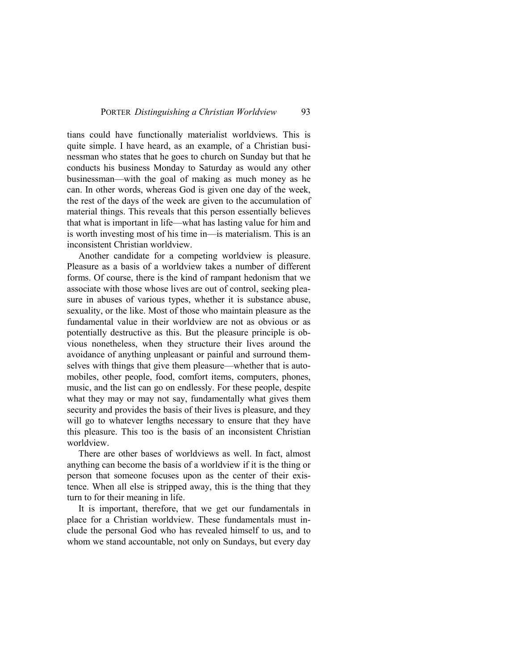tians could have functionally materialist worldviews. This is quite simple. I have heard, as an example, of a Christian businessman who states that he goes to church on Sunday but that he conducts his business Monday to Saturday as would any other businessman—with the goal of making as much money as he can. In other words, whereas God is given one day of the week, the rest of the days of the week are given to the accumulation of material things. This reveals that this person essentially believes that what is important in life—what has lasting value for him and is worth investing most of his time in—is materialism. This is an inconsistent Christian worldview.

Another candidate for a competing worldview is pleasure. Pleasure as a basis of a worldview takes a number of different forms. Of course, there is the kind of rampant hedonism that we associate with those whose lives are out of control, seeking pleasure in abuses of various types, whether it is substance abuse, sexuality, or the like. Most of those who maintain pleasure as the fundamental value in their worldview are not as obvious or as potentially destructive as this. But the pleasure principle is obvious nonetheless, when they structure their lives around the avoidance of anything unpleasant or painful and surround themselves with things that give them pleasure—whether that is automobiles, other people, food, comfort items, computers, phones, music, and the list can go on endlessly. For these people, despite what they may or may not say, fundamentally what gives them security and provides the basis of their lives is pleasure, and they will go to whatever lengths necessary to ensure that they have this pleasure. This too is the basis of an inconsistent Christian worldview.

There are other bases of worldviews as well. In fact, almost anything can become the basis of a worldview if it is the thing or person that someone focuses upon as the center of their existence. When all else is stripped away, this is the thing that they turn to for their meaning in life.

It is important, therefore, that we get our fundamentals in place for a Christian worldview. These fundamentals must include the personal God who has revealed himself to us, and to whom we stand accountable, not only on Sundays, but every day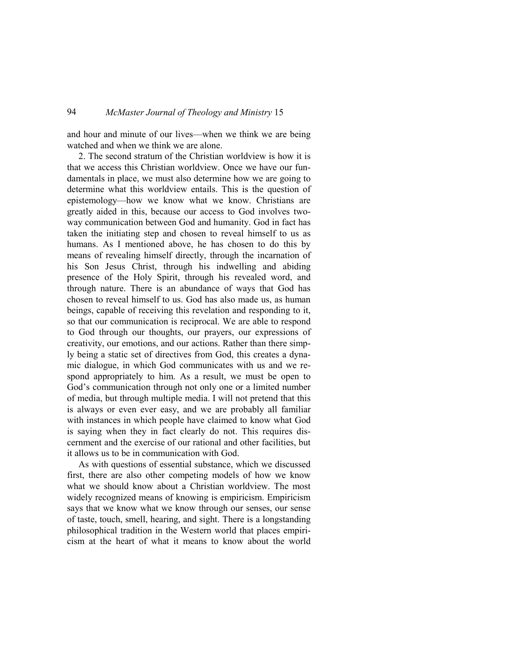and hour and minute of our lives—when we think we are being watched and when we think we are alone.

2. The second stratum of the Christian worldview is how it is that we access this Christian worldview. Once we have our fundamentals in place, we must also determine how we are going to determine what this worldview entails. This is the question of epistemology—how we know what we know. Christians are greatly aided in this, because our access to God involves twoway communication between God and humanity. God in fact has taken the initiating step and chosen to reveal himself to us as humans. As I mentioned above, he has chosen to do this by means of revealing himself directly, through the incarnation of his Son Jesus Christ, through his indwelling and abiding presence of the Holy Spirit, through his revealed word, and through nature. There is an abundance of ways that God has chosen to reveal himself to us. God has also made us, as human beings, capable of receiving this revelation and responding to it, so that our communication is reciprocal. We are able to respond to God through our thoughts, our prayers, our expressions of creativity, our emotions, and our actions. Rather than there simply being a static set of directives from God, this creates a dynamic dialogue, in which God communicates with us and we respond appropriately to him. As a result, we must be open to God's communication through not only one or a limited number of media, but through multiple media. I will not pretend that this is always or even ever easy, and we are probably all familiar with instances in which people have claimed to know what God is saying when they in fact clearly do not. This requires discernment and the exercise of our rational and other facilities, but it allows us to be in communication with God.

As with questions of essential substance, which we discussed first, there are also other competing models of how we know what we should know about a Christian worldview. The most widely recognized means of knowing is empiricism. Empiricism says that we know what we know through our senses, our sense of taste, touch, smell, hearing, and sight. There is a longstanding philosophical tradition in the Western world that places empiricism at the heart of what it means to know about the world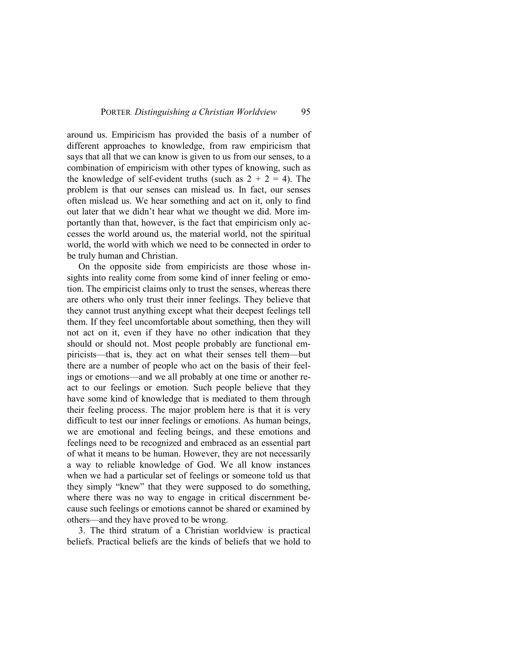around us. Empiricism has provided the basis of a number of different approaches to knowledge, from raw empiricism that says that all that we can know is given to us from our senses, to a combination of empiricism with other types of knowing, such as the knowledge of self-evident truths (such as  $2 + 2 = 4$ ). The problem is that our senses can mislead us. In fact, our senses often mislead us. We hear something and act on it, only to find out later that we didn't hear what we thought we did. More importantly than that, however, is the fact that empiricism only accesses the world around us, the material world, not the spiritual world, the world with which we need to be connected in order to be truly human and Christian.

On the opposite side from empiricists are those whose insights into reality come from some kind of inner feeling or emotion. The empiricist claims only to trust the senses, whereas there are others who only trust their inner feelings. They believe that they cannot trust anything except what their deepest feelings tell them. If they feel uncomfortable about something, then they will not act on it, even if they have no other indication that they should or should not. Most people probably are functional empiricists—that is, they act on what their senses tell them—but there are a number of people who act on the basis of their feelings or emotions—and we all probably at one time or another react to our feelings or emotion. Such people believe that they have some kind of knowledge that is mediated to them through their feeling process. The major problem here is that it is very difficult to test our inner feelings or emotions. As human beings, we are emotional and feeling beings, and these emotions and feelings need to be recognized and embraced as an essential part of what it means to be human. However, they are not necessarily a way to reliable knowledge of God. We all know instances when we had a particular set of feelings or someone told us that they simply "knew" that they were supposed to do something, where there was no way to engage in critical discernment because such feelings or emotions cannot be shared or examined by others—and they have proved to be wrong.

3. The third stratum of a Christian worldview is practical beliefs. Practical beliefs are the kinds of beliefs that we hold to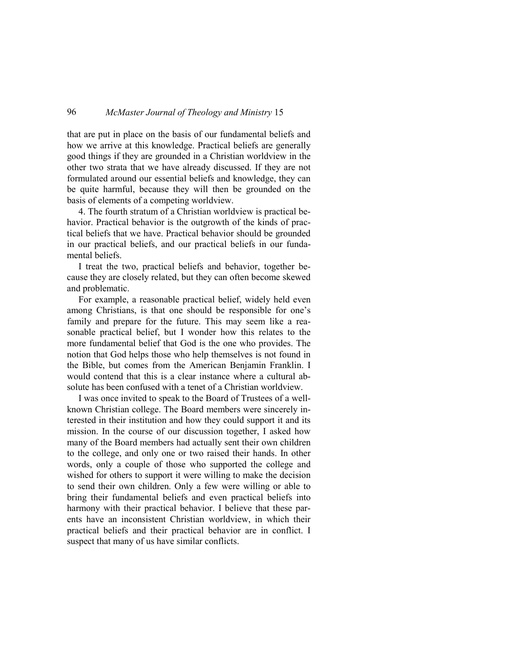that are put in place on the basis of our fundamental beliefs and how we arrive at this knowledge. Practical beliefs are generally good things if they are grounded in a Christian worldview in the other two strata that we have already discussed. If they are not formulated around our essential beliefs and knowledge, they can be quite harmful, because they will then be grounded on the basis of elements of a competing worldview.

4. The fourth stratum of a Christian worldview is practical behavior. Practical behavior is the outgrowth of the kinds of practical beliefs that we have. Practical behavior should be grounded in our practical beliefs, and our practical beliefs in our fundamental beliefs.

I treat the two, practical beliefs and behavior, together because they are closely related, but they can often become skewed and problematic.

For example, a reasonable practical belief, widely held even among Christians, is that one should be responsible for one's family and prepare for the future. This may seem like a reasonable practical belief, but I wonder how this relates to the more fundamental belief that God is the one who provides. The notion that God helps those who help themselves is not found in the Bible, but comes from the American Benjamin Franklin. I would contend that this is a clear instance where a cultural absolute has been confused with a tenet of a Christian worldview.

I was once invited to speak to the Board of Trustees of a wellknown Christian college. The Board members were sincerely interested in their institution and how they could support it and its mission. In the course of our discussion together, I asked how many of the Board members had actually sent their own children to the college, and only one or two raised their hands. In other words, only a couple of those who supported the college and wished for others to support it were willing to make the decision to send their own children. Only a few were willing or able to bring their fundamental beliefs and even practical beliefs into harmony with their practical behavior. I believe that these parents have an inconsistent Christian worldview, in which their practical beliefs and their practical behavior are in conflict. I suspect that many of us have similar conflicts.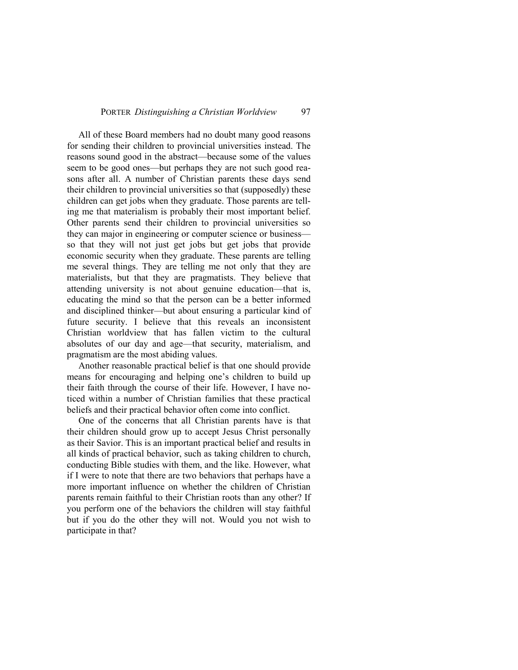All of these Board members had no doubt many good reasons for sending their children to provincial universities instead. The reasons sound good in the abstract—because some of the values seem to be good ones—but perhaps they are not such good reasons after all. A number of Christian parents these days send their children to provincial universities so that (supposedly) these children can get jobs when they graduate. Those parents are telling me that materialism is probably their most important belief. Other parents send their children to provincial universities so they can major in engineering or computer science or business so that they will not just get jobs but get jobs that provide economic security when they graduate. These parents are telling me several things. They are telling me not only that they are materialists, but that they are pragmatists. They believe that attending university is not about genuine education—that is, educating the mind so that the person can be a better informed and disciplined thinker—but about ensuring a particular kind of future security. I believe that this reveals an inconsistent Christian worldview that has fallen victim to the cultural absolutes of our day and age—that security, materialism, and pragmatism are the most abiding values.

Another reasonable practical belief is that one should provide means for encouraging and helping one's children to build up their faith through the course of their life. However, I have noticed within a number of Christian families that these practical beliefs and their practical behavior often come into conflict.

One of the concerns that all Christian parents have is that their children should grow up to accept Jesus Christ personally as their Savior. This is an important practical belief and results in all kinds of practical behavior, such as taking children to church, conducting Bible studies with them, and the like. However, what if I were to note that there are two behaviors that perhaps have a more important influence on whether the children of Christian parents remain faithful to their Christian roots than any other? If you perform one of the behaviors the children will stay faithful but if you do the other they will not. Would you not wish to participate in that?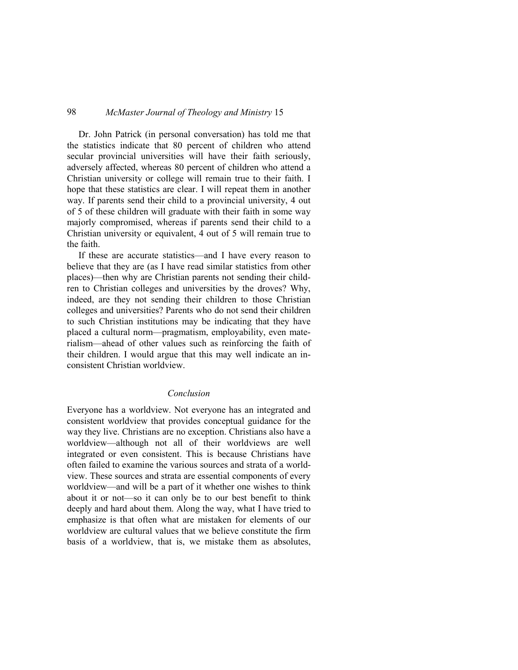Dr. John Patrick (in personal conversation) has told me that the statistics indicate that 80 percent of children who attend secular provincial universities will have their faith seriously, adversely affected, whereas 80 percent of children who attend a Christian university or college will remain true to their faith. I hope that these statistics are clear. I will repeat them in another way. If parents send their child to a provincial university, 4 out of 5 of these children will graduate with their faith in some way majorly compromised, whereas if parents send their child to a Christian university or equivalent, 4 out of 5 will remain true to the faith.

If these are accurate statistics—and I have every reason to believe that they are (as I have read similar statistics from other places)—then why are Christian parents not sending their children to Christian colleges and universities by the droves? Why, indeed, are they not sending their children to those Christian colleges and universities? Parents who do not send their children to such Christian institutions may be indicating that they have placed a cultural norm—pragmatism, employability, even materialism—ahead of other values such as reinforcing the faith of their children. I would argue that this may well indicate an inconsistent Christian worldview.

### *Conclusion*

Everyone has a worldview. Not everyone has an integrated and consistent worldview that provides conceptual guidance for the way they live. Christians are no exception. Christians also have a worldview—although not all of their worldviews are well integrated or even consistent. This is because Christians have often failed to examine the various sources and strata of a worldview. These sources and strata are essential components of every worldview—and will be a part of it whether one wishes to think about it or not—so it can only be to our best benefit to think deeply and hard about them. Along the way, what I have tried to emphasize is that often what are mistaken for elements of our worldview are cultural values that we believe constitute the firm basis of a worldview, that is, we mistake them as absolutes,